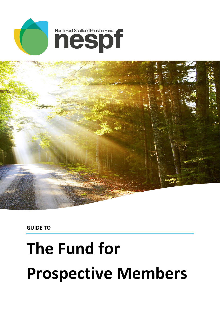



**GUIDE TO** 

# **The Fund for Prospective Members**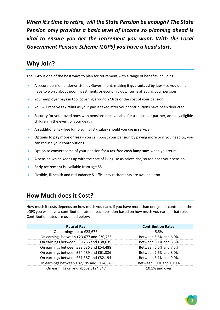*When it's time to retire, will the State Pension be enough? The State Pension only provides a basic level of income so planning ahead is vital to ensure you get the retirement you want. With the Local Government Pension Scheme (LGPS) you have a head start.* 

## **Why Join?**

The LGPS is one of the best ways to plan for retirement with a range of benefits including:

- A secure pension underwritten by Government, making it **guaranteed by law** so you don't have to worry about poor investments or economic downturns affecting your pension
- Your employer pays in too, covering around 2/3rds of the cost of your pension
- You will receive **tax relief** as your pay is taxed after your contributions have been deducted
- Security for your loved ones with pensions are available for a spouse or partner, and any eligible children in the event of your death
- An additional tax-free lump sum of 3 x salary should you die in service
- **Options to pay more or less** you can boost your pension by paying more or if you need to, you can reduce your contributions
- Option to convert some of your pension for a **tax-free cash lump sum** when you retire
- A pension which keeps up with the cost of living, so as prices rise, so too does your pension
- **Early retirement** is available from age 55
- Flexible, ill health and redundancy & efficiency retirements are available too

#### **How Much does it Cost?**

How much it costs depends on how much you earn. If you have more than one job or contract in the LGPS you will have a contribution rate for each position based on how much you earn in that role. Contribution rates are outlined below:

| <b>Rate of Pay</b>                       | <b>Contribution Rates</b> |
|------------------------------------------|---------------------------|
| On earnings up to £23,676                | 5.5%                      |
| On earnings between £23,677 and £30,765  | Between 5.6% and 6.0%     |
| On earnings between £30,766 and £38,635  | Between 6.1% and 6.5%     |
| On earnings between £38,636 and £54,488  | Between 6.6% and 7.5%     |
| On earnings between £54,489 and £61,386  | Between 7.6% and 8.0%     |
| On earnings between £61,387 and £82,194  | Between 8.1% and 9.0%     |
| On earnings between £82,195 and £124,346 | Between 9.1% and 10.0%    |
| On earnings on and above £124,347        | $10.1\%$ and over         |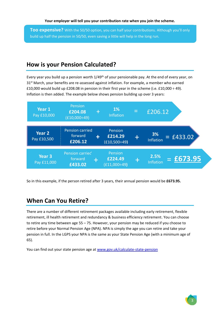**Too expensive?** With the 50/50 option, you can half your contributions. Although you'll only build up half the pension in 50/50, even saving a little will help in the long run.

## **How is your Pension Calculated?**

Every year you build up a pension worth 1/49<sup>th</sup> of your pensionable pay. At the end of every year, on  $31<sup>st</sup>$  March, your benefits are re-assessed against inflation. For example, a member who earned £10,000 would build up £208.08 in pension in their first year in the scheme (i.e. £10,000  $\div$  49). Inflation is then added. The example below shows pension building up over 3 years:



So in this example, if the person retired after 3 years, their annual pension would be **£673.95.** 

#### **When Can You Retire?**

There are a number of different retirement packages available including early retirement, flexible retirement, ill health retirement and redundancy & business efficiency retirement. You can choose to retire any time between age 55 – 75. However, your pension may be reduced if you choose to retire before your Normal Pension Age (NPA). NPA is simply the age you can retire and take your pension in full. In the LGPS your NPA is the same as your State Pension Age (with a minimum age of 65).

You can find out your state pension age at [www.gov.uk/calculate-state-pension](http://www.gov.uk/calculate-state-pension)